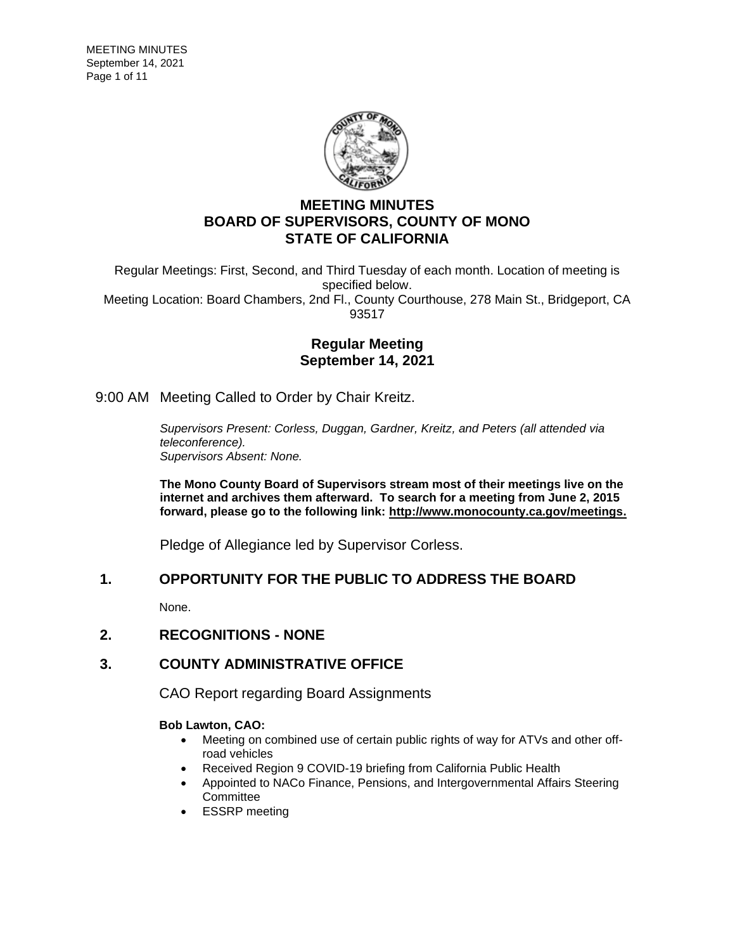

# **MEETING MINUTES BOARD OF SUPERVISORS, COUNTY OF MONO STATE OF CALIFORNIA**

Regular Meetings: First, Second, and Third Tuesday of each month. Location of meeting is specified below. Meeting Location: Board Chambers, 2nd Fl., County Courthouse, 278 Main St., Bridgeport, CA 93517

## **Regular Meeting September 14, 2021**

9:00 AM Meeting Called to Order by Chair Kreitz.

*Supervisors Present: Corless, Duggan, Gardner, Kreitz, and Peters (all attended via teleconference). Supervisors Absent: None.*

**The Mono County Board of Supervisors stream most of their meetings live on the internet and archives them afterward. To search for a meeting from June 2, 2015 forward, please go to the following link: [http://www.monocounty.ca.gov/meetings.](http://www.monocounty.ca.gov/meetings)**

Pledge of Allegiance led by Supervisor Corless.

## **1. OPPORTUNITY FOR THE PUBLIC TO ADDRESS THE BOARD**

None.

### **2. RECOGNITIONS - NONE**

## **3. COUNTY ADMINISTRATIVE OFFICE**

CAO Report regarding Board Assignments

### **Bob Lawton, CAO:**

- Meeting on combined use of certain public rights of way for ATVs and other offroad vehicles
- Received Region 9 COVID-19 briefing from California Public Health
- Appointed to NACo Finance, Pensions, and Intergovernmental Affairs Steering **Committee**
- ESSRP meeting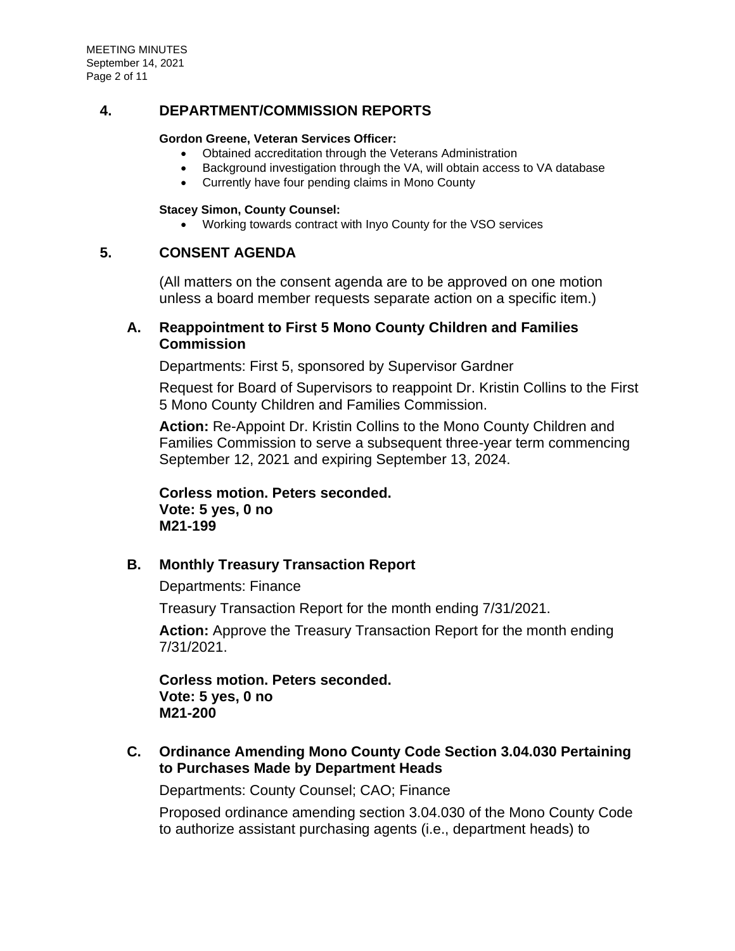MEETING MINUTES September 14, 2021 Page 2 of 11

## **4. DEPARTMENT/COMMISSION REPORTS**

### **Gordon Greene, Veteran Services Officer:**

- Obtained accreditation through the Veterans Administration
- Background investigation through the VA, will obtain access to VA database
- Currently have four pending claims in Mono County

### **Stacey Simon, County Counsel:**

• Working towards contract with Inyo County for the VSO services

### **5. CONSENT AGENDA**

(All matters on the consent agenda are to be approved on one motion unless a board member requests separate action on a specific item.)

## **A. [Reappointment to First 5 Mono County Children and Families](https://agenda.mono.ca.gov/AgendaWeb/CoverSheet.aspx?ItemID=13632&MeetingID=799)  [Commission](https://agenda.mono.ca.gov/AgendaWeb/CoverSheet.aspx?ItemID=13632&MeetingID=799)**

Departments: First 5, sponsored by Supervisor Gardner

Request for Board of Supervisors to reappoint Dr. Kristin Collins to the First 5 Mono County Children and Families Commission.

**Action:** Re-Appoint Dr. Kristin Collins to the Mono County Children and Families Commission to serve a subsequent three-year term commencing September 12, 2021 and expiring September 13, 2024.

**Corless motion. Peters seconded. Vote: 5 yes, 0 no M21-199**

# **B. [Monthly Treasury Transaction Report](https://agenda.mono.ca.gov/AgendaWeb/CoverSheet.aspx?ItemID=13554&MeetingID=799)**

Departments: Finance

Treasury Transaction Report for the month ending 7/31/2021.

**Action:** Approve the Treasury Transaction Report for the month ending 7/31/2021.

**Corless motion. Peters seconded. Vote: 5 yes, 0 no M21-200**

**C. [Ordinance Amending Mono County Code Section 3.04.030 Pertaining](https://agenda.mono.ca.gov/AgendaWeb/CoverSheet.aspx?ItemID=13623&MeetingID=799)  [to Purchases Made by Department Heads](https://agenda.mono.ca.gov/AgendaWeb/CoverSheet.aspx?ItemID=13623&MeetingID=799)**

Departments: County Counsel; CAO; Finance

Proposed ordinance amending section 3.04.030 of the Mono County Code to authorize assistant purchasing agents (i.e., department heads) to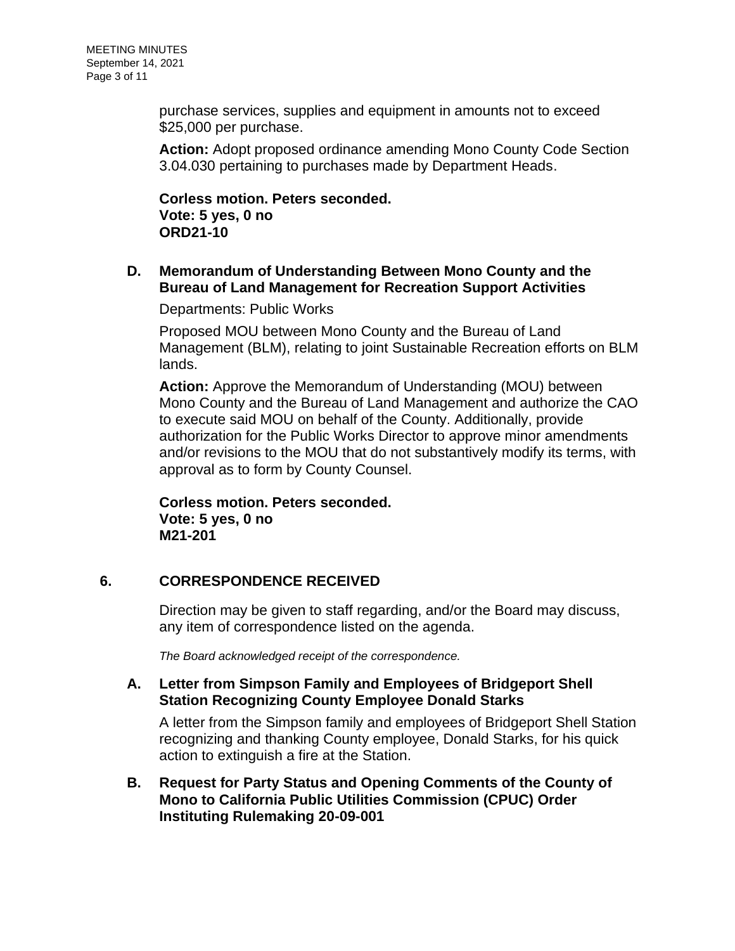purchase services, supplies and equipment in amounts not to exceed \$25,000 per purchase.

**Action:** Adopt proposed ordinance amending Mono County Code Section 3.04.030 pertaining to purchases made by Department Heads.

**Corless motion. Peters seconded. Vote: 5 yes, 0 no ORD21-10**

# **D. [Memorandum of Understanding Between Mono County and the](https://agenda.mono.ca.gov/AgendaWeb/CoverSheet.aspx?ItemID=13563&MeetingID=799)  [Bureau of Land Management for Recreation Support Activities](https://agenda.mono.ca.gov/AgendaWeb/CoverSheet.aspx?ItemID=13563&MeetingID=799)**

Departments: Public Works

Proposed MOU between Mono County and the Bureau of Land Management (BLM), relating to joint Sustainable Recreation efforts on BLM lands.

**Action:** Approve the Memorandum of Understanding (MOU) between Mono County and the Bureau of Land Management and authorize the CAO to execute said MOU on behalf of the County. Additionally, provide authorization for the Public Works Director to approve minor amendments and/or revisions to the MOU that do not substantively modify its terms, with approval as to form by County Counsel.

**Corless motion. Peters seconded. Vote: 5 yes, 0 no M21-201**

# **6. CORRESPONDENCE RECEIVED**

Direction may be given to staff regarding, and/or the Board may discuss, any item of correspondence listed on the agenda.

*The Board acknowledged receipt of the correspondence.*

## **A. [Letter from Simpson Family and Employees of Bridgeport Shell](https://agenda.mono.ca.gov/AgendaWeb/CoverSheet.aspx?ItemID=13617&MeetingID=799)  [Station Recognizing County Employee Donald Starks](https://agenda.mono.ca.gov/AgendaWeb/CoverSheet.aspx?ItemID=13617&MeetingID=799)**

A letter from the Simpson family and employees of Bridgeport Shell Station recognizing and thanking County employee, Donald Starks, for his quick action to extinguish a fire at the Station.

**B. [Request for Party Status and Opening Comments of the County of](https://agenda.mono.ca.gov/AgendaWeb/CoverSheet.aspx?ItemID=13631&MeetingID=799)  [Mono to California Public Utilities Commission \(CPUC\) Order](https://agenda.mono.ca.gov/AgendaWeb/CoverSheet.aspx?ItemID=13631&MeetingID=799)  [Instituting Rulemaking 20-09-001](https://agenda.mono.ca.gov/AgendaWeb/CoverSheet.aspx?ItemID=13631&MeetingID=799)**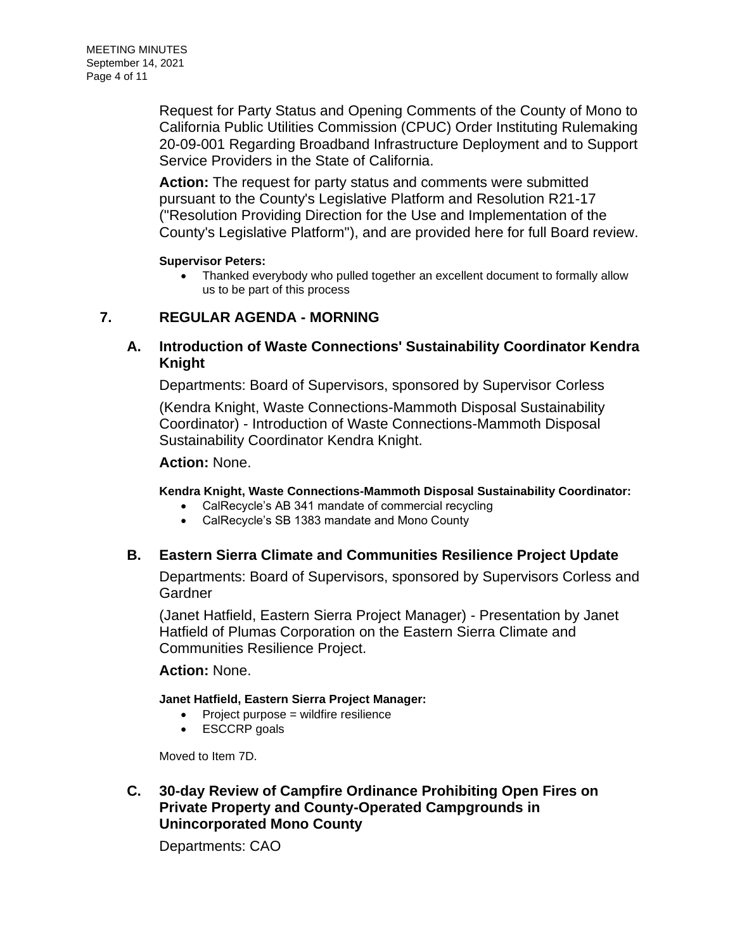Request for Party Status and Opening Comments of the County of Mono to California Public Utilities Commission (CPUC) Order Instituting Rulemaking 20-09-001 Regarding Broadband Infrastructure Deployment and to Support Service Providers in the State of California.

**Action:** The request for party status and comments were submitted pursuant to the County's Legislative Platform and Resolution R21-17 ("Resolution Providing Direction for the Use and Implementation of the County's Legislative Platform"), and are provided here for full Board review.

### **Supervisor Peters:**

• Thanked everybody who pulled together an excellent document to formally allow us to be part of this process

# **7. REGULAR AGENDA - MORNING**

# **A. [Introduction of Waste Connections' Sustainability Coordinator Kendra](https://agenda.mono.ca.gov/AgendaWeb/CoverSheet.aspx?ItemID=13630&MeetingID=799)  [Knight](https://agenda.mono.ca.gov/AgendaWeb/CoverSheet.aspx?ItemID=13630&MeetingID=799)**

Departments: Board of Supervisors, sponsored by Supervisor Corless

(Kendra Knight, Waste Connections-Mammoth Disposal Sustainability Coordinator) - Introduction of Waste Connections-Mammoth Disposal Sustainability Coordinator Kendra Knight.

### **Action:** None.

### **Kendra Knight, Waste Connections-Mammoth Disposal Sustainability Coordinator:**

- CalRecycle's AB 341 mandate of commercial recycling
- CalRecycle's SB 1383 mandate and Mono County

### **B. [Eastern Sierra Climate and Communities Resilience Project Update](https://agenda.mono.ca.gov/AgendaWeb/CoverSheet.aspx?ItemID=13555&MeetingID=799)**

Departments: Board of Supervisors, sponsored by Supervisors Corless and **Gardner** 

(Janet Hatfield, Eastern Sierra Project Manager) - Presentation by Janet Hatfield of Plumas Corporation on the Eastern Sierra Climate and Communities Resilience Project.

### **Action:** None.

### **Janet Hatfield, Eastern Sierra Project Manager:**

- Project purpose = wildfire resilience
- ESCCRP goals

Moved to Item 7D.

## **C. [30-day Review of Campfire Ordinance Prohibiting Open Fires on](https://agenda.mono.ca.gov/AgendaWeb/CoverSheet.aspx?ItemID=13635&MeetingID=799)  [Private Property and County-Operated Campgrounds in](https://agenda.mono.ca.gov/AgendaWeb/CoverSheet.aspx?ItemID=13635&MeetingID=799)  [Unincorporated Mono County](https://agenda.mono.ca.gov/AgendaWeb/CoverSheet.aspx?ItemID=13635&MeetingID=799)**

Departments: CAO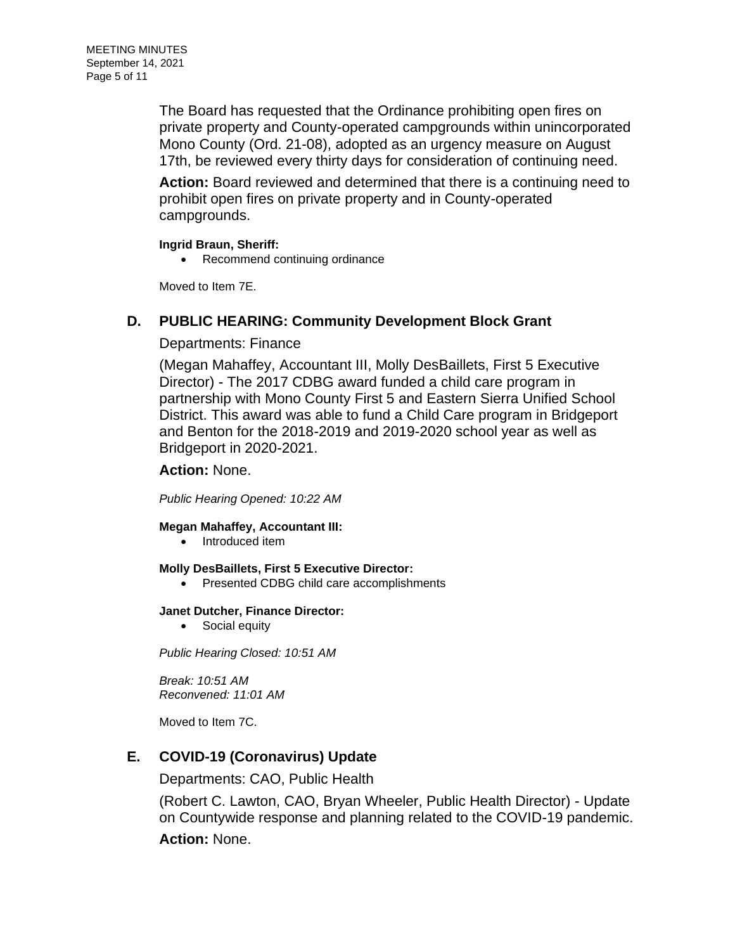The Board has requested that the Ordinance prohibiting open fires on private property and County-operated campgrounds within unincorporated Mono County (Ord. 21-08), adopted as an urgency measure on August 17th, be reviewed every thirty days for consideration of continuing need.

**Action:** Board reviewed and determined that there is a continuing need to prohibit open fires on private property and in County-operated campgrounds.

### **Ingrid Braun, Sheriff:**

• Recommend continuing ordinance

Moved to Item 7E.

## **D. [PUBLIC HEARING: Community Development Block Grant](https://agenda.mono.ca.gov/AgendaWeb/CoverSheet.aspx?ItemID=13590&MeetingID=799)**

### Departments: Finance

(Megan Mahaffey, Accountant III, Molly DesBaillets, First 5 Executive Director) - The 2017 CDBG award funded a child care program in partnership with Mono County First 5 and Eastern Sierra Unified School District. This award was able to fund a Child Care program in Bridgeport and Benton for the 2018-2019 and 2019-2020 school year as well as Bridgeport in 2020-2021.

### **Action:** None.

*Public Hearing Opened: 10:22 AM*

### **Megan Mahaffey, Accountant III:**

• Introduced item

### **Molly DesBaillets, First 5 Executive Director:**

• Presented CDBG child care accomplishments

### **Janet Dutcher, Finance Director:**

• Social equity

*Public Hearing Closed: 10:51 AM*

*Break: 10:51 AM Reconvened: 11:01 AM*

Moved to Item 7C.

# **E. [COVID-19 \(Coronavirus\) Update](https://agenda.mono.ca.gov/AgendaWeb/CoverSheet.aspx?ItemID=13374&MeetingID=799)**

Departments: CAO, Public Health

(Robert C. Lawton, CAO, Bryan Wheeler, Public Health Director) - Update on Countywide response and planning related to the COVID-19 pandemic.

**Action:** None.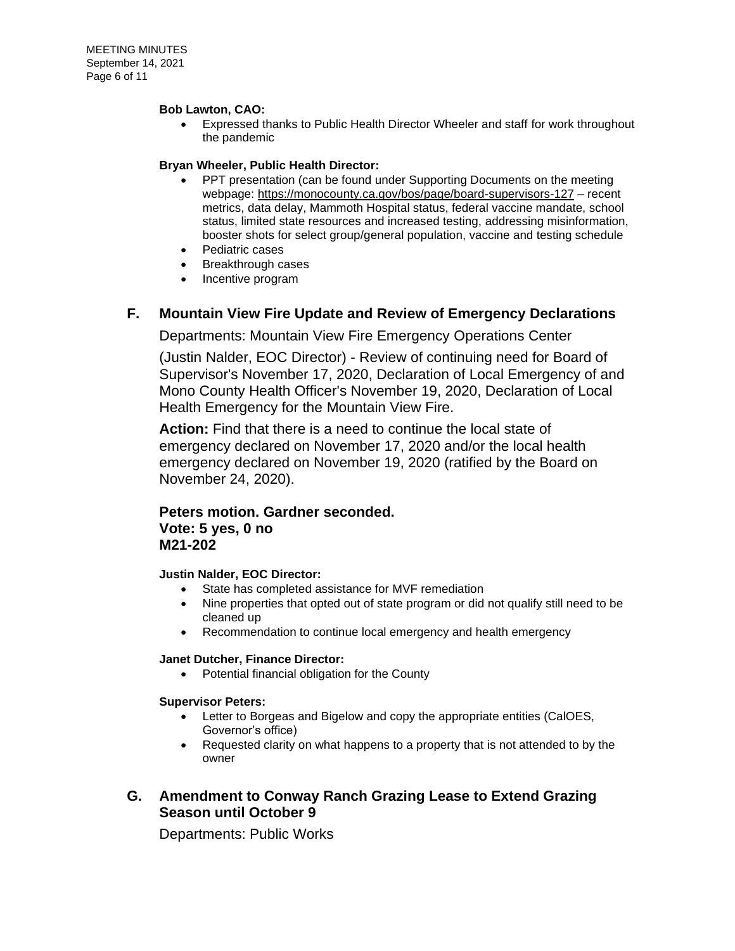#### **Bob Lawton, CAO:**

• Expressed thanks to Public Health Director Wheeler and staff for work throughout the pandemic

### **Bryan Wheeler, Public Health Director:**

- PPT presentation (can be found under Supporting Documents on the meeting webpage:<https://monocounty.ca.gov/bos/page/board-supervisors-127> – recent metrics, data delay, Mammoth Hospital status, federal vaccine mandate, school status, limited state resources and increased testing, addressing misinformation, booster shots for select group/general population, vaccine and testing schedule
- Pediatric cases
- Breakthrough cases
- Incentive program

### **F. [Mountain View Fire Update and Review of Emergency Declarations](https://agenda.mono.ca.gov/AgendaWeb/CoverSheet.aspx?ItemID=13604&MeetingID=799)**

Departments: Mountain View Fire Emergency Operations Center

(Justin Nalder, EOC Director) - Review of continuing need for Board of Supervisor's November 17, 2020, Declaration of Local Emergency of and Mono County Health Officer's November 19, 2020, Declaration of Local Health Emergency for the Mountain View Fire.

**Action:** Find that there is a need to continue the local state of emergency declared on November 17, 2020 and/or the local health emergency declared on November 19, 2020 (ratified by the Board on November 24, 2020).

# **Peters motion. Gardner seconded. Vote: 5 yes, 0 no M21-202**

### **Justin Nalder, EOC Director:**

- State has completed assistance for MVF remediation
- Nine properties that opted out of state program or did not qualify still need to be cleaned up
- Recommendation to continue local emergency and health emergency

#### **Janet Dutcher, Finance Director:**

• Potential financial obligation for the County

#### **Supervisor Peters:**

- Letter to Borgeas and Bigelow and copy the appropriate entities (CalOES, Governor's office)
- Requested clarity on what happens to a property that is not attended to by the owner

## **G. [Amendment to Conway Ranch Grazing Lease to Extend Grazing](https://agenda.mono.ca.gov/AgendaWeb/CoverSheet.aspx?ItemID=13622&MeetingID=799)  [Season until October 9](https://agenda.mono.ca.gov/AgendaWeb/CoverSheet.aspx?ItemID=13622&MeetingID=799)**

Departments: Public Works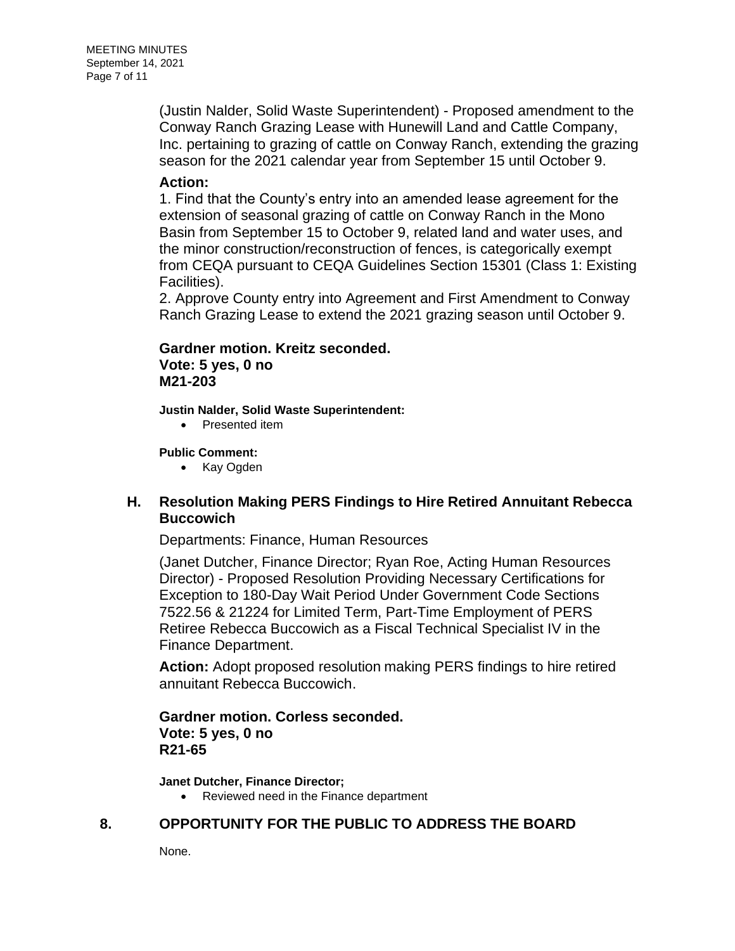(Justin Nalder, Solid Waste Superintendent) - Proposed amendment to the Conway Ranch Grazing Lease with Hunewill Land and Cattle Company, Inc. pertaining to grazing of cattle on Conway Ranch, extending the grazing season for the 2021 calendar year from September 15 until October 9.

### **Action:**

1. Find that the County's entry into an amended lease agreement for the extension of seasonal grazing of cattle on Conway Ranch in the Mono Basin from September 15 to October 9, related land and water uses, and the minor construction/reconstruction of fences, is categorically exempt from CEQA pursuant to CEQA Guidelines Section 15301 (Class 1: Existing Facilities).

2. Approve County entry into Agreement and First Amendment to Conway Ranch Grazing Lease to extend the 2021 grazing season until October 9.

# **Gardner motion. Kreitz seconded. Vote: 5 yes, 0 no M21-203**

**Justin Nalder, Solid Waste Superintendent:**

• Presented item

### **Public Comment:**

• Kay Ogden

## **H. [Resolution Making PERS Findings to Hire Retired Annuitant Rebecca](https://agenda.mono.ca.gov/AgendaWeb/CoverSheet.aspx?ItemID=13599&MeetingID=799)  [Buccowich](https://agenda.mono.ca.gov/AgendaWeb/CoverSheet.aspx?ItemID=13599&MeetingID=799)**

Departments: Finance, Human Resources

(Janet Dutcher, Finance Director; Ryan Roe, Acting Human Resources Director) - Proposed Resolution Providing Necessary Certifications for Exception to 180-Day Wait Period Under Government Code Sections 7522.56 & 21224 for Limited Term, Part-Time Employment of PERS Retiree Rebecca Buccowich as a Fiscal Technical Specialist IV in the Finance Department.

**Action:** Adopt proposed resolution making PERS findings to hire retired annuitant Rebecca Buccowich.

# **Gardner motion. Corless seconded. Vote: 5 yes, 0 no R21-65**

**Janet Dutcher, Finance Director;** 

• Reviewed need in the Finance department

# **8. OPPORTUNITY FOR THE PUBLIC TO ADDRESS THE BOARD**

None.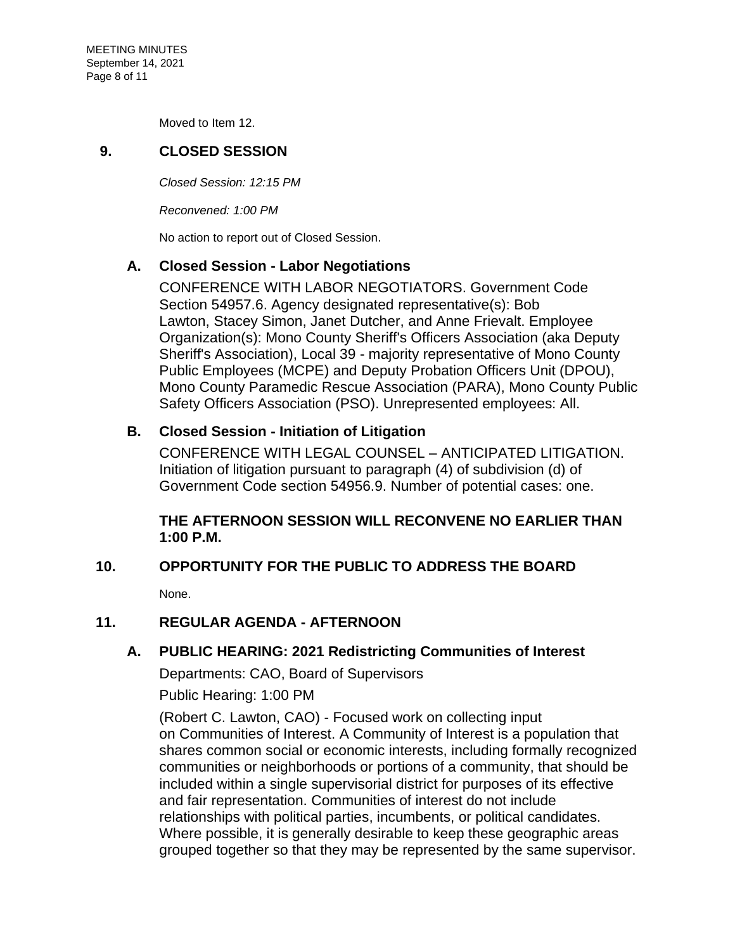Moved to Item 12.

# **9. CLOSED SESSION**

*Closed Session: 12:15 PM* 

*Reconvened: 1:00 PM*

No action to report out of Closed Session.

## **A. Closed Session - [Labor Negotiations](https://agenda.mono.ca.gov/AgendaWeb/CoverSheet.aspx?ItemID=13557&MeetingID=799)**

CONFERENCE WITH LABOR NEGOTIATORS. Government Code Section 54957.6. Agency designated representative(s): Bob Lawton, Stacey Simon, Janet Dutcher, and Anne Frievalt. Employee Organization(s): Mono County Sheriff's Officers Association (aka Deputy Sheriff's Association), Local 39 - majority representative of Mono County Public Employees (MCPE) and Deputy Probation Officers Unit (DPOU), Mono County Paramedic Rescue Association (PARA), Mono County Public Safety Officers Association (PSO). Unrepresented employees: All.

# **B. Closed Session - [Initiation of Litigation](https://agenda.mono.ca.gov/AgendaWeb/CoverSheet.aspx?ItemID=13633&MeetingID=799)**

CONFERENCE WITH LEGAL COUNSEL – ANTICIPATED LITIGATION. Initiation of litigation pursuant to paragraph (4) of subdivision (d) of Government Code section 54956.9. Number of potential cases: one.

## **THE AFTERNOON SESSION WILL RECONVENE NO EARLIER THAN 1:00 P.M.**

# **10. OPPORTUNITY FOR THE PUBLIC TO ADDRESS THE BOARD**

None.

# **11. REGULAR AGENDA - AFTERNOON**

## **A. [PUBLIC HEARING: 2021 Redistricting Communities of Interest](https://agenda.mono.ca.gov/AgendaWeb/CoverSheet.aspx?ItemID=13625&MeetingID=799)**

Departments: CAO, Board of Supervisors

Public Hearing: 1:00 PM

(Robert C. Lawton, CAO) - Focused work on collecting input on Communities of Interest. A Community of Interest is a population that shares common social or economic interests, including formally recognized communities or neighborhoods or portions of a community, that should be included within a single supervisorial district for purposes of its effective and fair representation. Communities of interest do not include relationships with political parties, incumbents, or political candidates. Where possible, it is generally desirable to keep these geographic areas grouped together so that they may be represented by the same supervisor.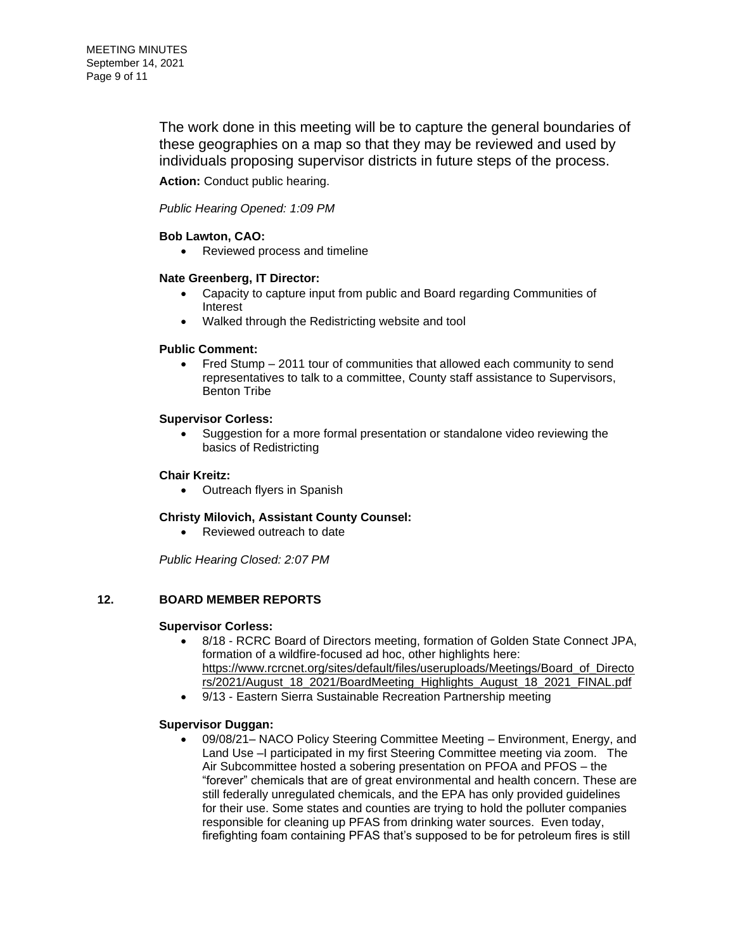The work done in this meeting will be to capture the general boundaries of these geographies on a map so that they may be reviewed and used by individuals proposing supervisor districts in future steps of the process.

**Action:** Conduct public hearing.

*Public Hearing Opened: 1:09 PM*

### **Bob Lawton, CAO:**

• Reviewed process and timeline

#### **Nate Greenberg, IT Director:**

- Capacity to capture input from public and Board regarding Communities of Interest
- Walked through the Redistricting website and tool

#### **Public Comment:**

• Fred Stump – 2011 tour of communities that allowed each community to send representatives to talk to a committee, County staff assistance to Supervisors, Benton Tribe

#### **Supervisor Corless:**

• Suggestion for a more formal presentation or standalone video reviewing the basics of Redistricting

#### **Chair Kreitz:**

• Outreach flyers in Spanish

#### **Christy Milovich, Assistant County Counsel:**

• Reviewed outreach to date

*Public Hearing Closed: 2:07 PM*

### **12. BOARD MEMBER REPORTS**

#### **Supervisor Corless:**

- 8/18 RCRC Board of Directors meeting, formation of Golden State Connect JPA, formation of a wildfire-focused ad hoc, other highlights here: [https://www.rcrcnet.org/sites/default/files/useruploads/Meetings/Board\\_of\\_Directo](https://www.rcrcnet.org/sites/default/files/useruploads/Meetings/Board_of_Directors/2021/August_18_2021/BoardMeeting_Highlights_August_18_2021_FINAL.pdf) [rs/2021/August\\_18\\_2021/BoardMeeting\\_Highlights\\_August\\_18\\_2021\\_FINAL.pdf](https://www.rcrcnet.org/sites/default/files/useruploads/Meetings/Board_of_Directors/2021/August_18_2021/BoardMeeting_Highlights_August_18_2021_FINAL.pdf)
- 9/13 Eastern Sierra Sustainable Recreation Partnership meeting

#### **Supervisor Duggan:**

• 09/08/21– NACO Policy Steering Committee Meeting – Environment, Energy, and Land Use –I participated in my first Steering Committee meeting via zoom. The Air Subcommittee hosted a sobering presentation on PFOA and PFOS – the "forever" chemicals that are of great environmental and health concern. These are still federally unregulated chemicals, and the EPA has only provided guidelines for their use. Some states and counties are trying to hold the polluter companies responsible for cleaning up PFAS from drinking water sources. Even today, firefighting foam containing PFAS that's supposed to be for petroleum fires is still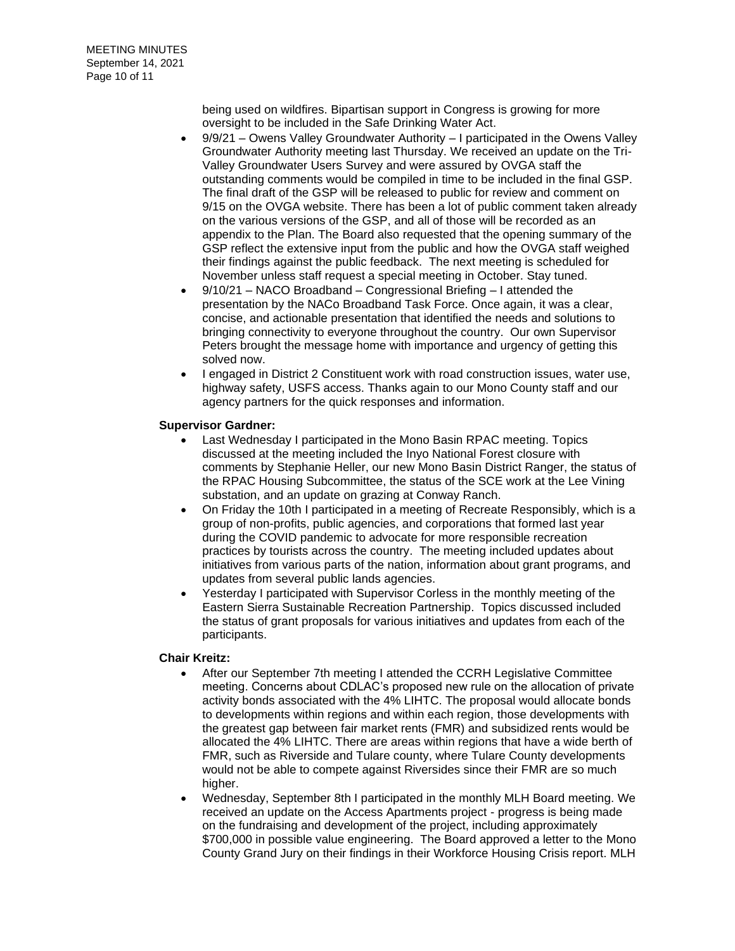being used on wildfires. Bipartisan support in Congress is growing for more oversight to be included in the Safe Drinking Water Act.

- 9/9/21 Owens Valley Groundwater Authority I participated in the Owens Valley Groundwater Authority meeting last Thursday. We received an update on the Tri-Valley Groundwater Users Survey and were assured by OVGA staff the outstanding comments would be compiled in time to be included in the final GSP. The final draft of the GSP will be released to public for review and comment on 9/15 on the OVGA website. There has been a lot of public comment taken already on the various versions of the GSP, and all of those will be recorded as an appendix to the Plan. The Board also requested that the opening summary of the GSP reflect the extensive input from the public and how the OVGA staff weighed their findings against the public feedback. The next meeting is scheduled for November unless staff request a special meeting in October. Stay tuned.
- 9/10/21 NACO Broadband Congressional Briefing I attended the presentation by the NACo Broadband Task Force. Once again, it was a clear, concise, and actionable presentation that identified the needs and solutions to bringing connectivity to everyone throughout the country. Our own Supervisor Peters brought the message home with importance and urgency of getting this solved now.
- I engaged in District 2 Constituent work with road construction issues, water use, highway safety, USFS access. Thanks again to our Mono County staff and our agency partners for the quick responses and information.

#### **Supervisor Gardner:**

- Last Wednesday I participated in the Mono Basin RPAC meeting. Topics discussed at the meeting included the Inyo National Forest closure with comments by Stephanie Heller, our new Mono Basin District Ranger, the status of the RPAC Housing Subcommittee, the status of the SCE work at the Lee Vining substation, and an update on grazing at Conway Ranch.
- On Friday the 10th I participated in a meeting of Recreate Responsibly, which is a group of non-profits, public agencies, and corporations that formed last year during the COVID pandemic to advocate for more responsible recreation practices by tourists across the country. The meeting included updates about initiatives from various parts of the nation, information about grant programs, and updates from several public lands agencies.
- Yesterday I participated with Supervisor Corless in the monthly meeting of the Eastern Sierra Sustainable Recreation Partnership. Topics discussed included the status of grant proposals for various initiatives and updates from each of the participants.

#### **Chair Kreitz:**

- After our September 7th meeting I attended the CCRH Legislative Committee meeting. Concerns about CDLAC's proposed new rule on the allocation of private activity bonds associated with the 4% LIHTC. The proposal would allocate bonds to developments within regions and within each region, those developments with the greatest gap between fair market rents (FMR) and subsidized rents would be allocated the 4% LIHTC. There are areas within regions that have a wide berth of FMR, such as Riverside and Tulare county, where Tulare County developments would not be able to compete against Riversides since their FMR are so much higher.
- Wednesday, September 8th I participated in the monthly MLH Board meeting. We received an update on the Access Apartments project - progress is being made on the fundraising and development of the project, including approximately \$700,000 in possible value engineering. The Board approved a letter to the Mono County Grand Jury on their findings in their Workforce Housing Crisis report. MLH